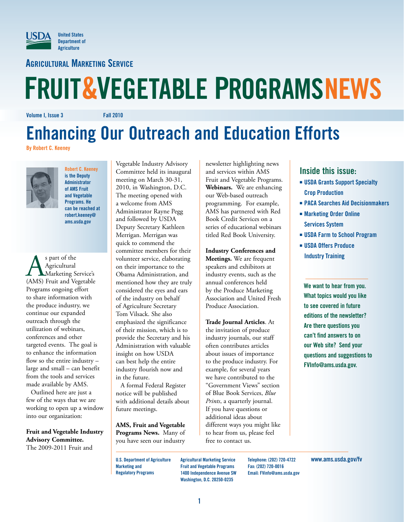

**Agricultural Marketing Service**

# **FRUIT&VEGETABLE PROGRAMSNEWS**

**Volume I, Issue 3 Fall 2010**

# **Enhancing Our Outreach and Education Efforts**

**By Robert C. Keeney**



**Robert C. Keeney is the Deputy Administrator of AMS Fruit and Vegetable Programs. He can be reached at robert.keeney@ ams.usda.gov**

**AS** part of the<br>Agricultural<br>(AMS) Fruit and Vegetable Agricultural Marketing Service's Programs ongoing effort to share information with the produce industry, we continue our expanded outreach through the utilization of webinars, conferences and other targeted events. The goal is to enhance the information flow so the entire industry – large and small – can benefit from the tools and services made available by AMS.

Outlined here are just a few of the ways that we are working to open up a window into our organization:

**Fruit and Vegetable Industry Advisory Committee.**  The 2009-2011 Fruit and

Vegetable Industry Advisory Committee held its inaugural meeting on March 30-31, 2010, in Washington, D.C. The meeting opened with a welcome from AMS Administrator Rayne Pegg and followed by USDA Deputy Secretary Kathleen Merrigan. Merrigan was quick to commend the committee members for their volunteer service, elaborating on their importance to the Obama Administration, and mentioned how they are truly considered the eyes and ears of the industry on behalf of Agriculture Secretary Tom Vilsack. She also emphasized the significance of their mission, which is to provide the Secretary and his Administration with valuable insight on how USDA can best help the entire industry flourish now and in the future.

A formal Federal Register notice will be published with additional details about future meetings.

**AMS, Fruit and Vegetable Programs News.** Many of you have seen our industry

newsletter highlighting news and services within AMS Fruit and Vegetable Programs. **Webinars.** We are enhancing our Web-based outreach programming. For example, AMS has partnered with Red Book Credit Services on a series of educational webinars titled Red Book University.

**Industry Conferences and Meetings.** We are frequent speakers and exhibitors at industry events, such as the annual conferences held by the Produce Marketing Association and United Fresh

Produce Association.

**Trade Journal Articles**. At the invitation of produce industry journals, our staff often contributes articles about issues of importance to the produce industry. For example, for several years we have contributed to the "Government Views" section of Blue Book Services, *Blue Prints*, a quarterly journal. If you have questions or additional ideas about different ways you might like to hear from us, please feel free to contact us.

#### **Inside this issue:**

- $\blacksquare$  **USDA Grants Support Specialty Crop Production**
- **PACA Searches Aid Decisionmakers**
- $\blacksquare$  **Marketing Order Online Services System**
- $\blacksquare$  **USDA Farm to School Program**
- ፚ **USDA Offers Produce Industry Training**

**We want to hear from you. What topics would you like to see covered in future editions of the newsletter? Are there questions you can't find answers to on our Web site? Send your questions and suggestions to FVInfo@ams.usda.gov.**

**U.S. Department of Agriculture Marketing and Regulatory Programs**

**Agricultural Marketing Service Fruit and Vegetable Programs 1400 Independence Avenue SW Washington, D.C. 20250-0235**

**Telephone: (202) 720-4722 Fax: (202) 720-0016 Email: FVinfo@ams.usda.gov** **www.ams.usda.gov/fv**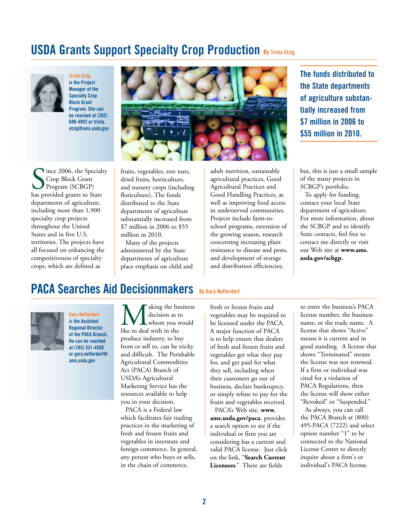### **USDA Grants Support Specialty Crop Production By Trista Etzig**



**Trista Etzig is the Project Manager of the Specialty Crop Block Grant Program. She can be reached at (202) 690-4942 or trista. etzig@ams.usda.gov**



**The funds distributed to the State departments of agriculture substantially increased from \$7 million in 2006 to \$55 million in 2010.** 

Since 2006, the Specialt<br>
Since Block Grant<br>
Program (SCBGP)<br>
has provided grants to State Ince 2006, the Specialty Crop Block Grant Program (SCBGP) departments of agriculture, including more than 1,900 specialty crop projects throughout the United States and in five U.S. territories. The projects have all focused on enhancing the competitiveness of specialty crops, which are defined as

fruits, vegetables, tree nuts, dried fruits, horticulture, and nursery crops (including floriculture). The funds distributed to the State departments of agriculture substantially increased from \$7 million in 2006 to \$55 million in 2010.

Many of the projects administered by the State departments of agriculture place emphasis on child and adult nutrition, sustainable agricultural practices, Good Agricultural Practices and Good Handling Practices, as well as improving food access in underserved communities. Projects include farm-toschool programs, extension of the growing season, research concerning increasing plant resistance to disease and pests, and development of storage and distribution efficiencies;

#### but, this is just a small sample of the many projects in SCBGP's portfolio.

To apply for funding, contact your local State department of agriculture. For more information, about the SCBGP and to identify State contacts, feel free to contact me directly or visit our Web site at **www.ams. usda.gov/scbgp.**

#### **PACA Searches Aid Decisionmakers** By Gary Nefferdorf



**Gary Nefferdorf is the Assistant Regional Director of the PACA Branch. He can be reached at (703) 331-4550 or gary.nefferdorf@ ams.usda.gov**

**M** aking the business<br>decision as to<br>like to deal with in the decision as to whom you would produce industry, to buy from or sell to, can be tricky and difficult. The Perishable Agricultural Commodities Act (PACA) Branch of USDA's Agricultural Marketing Service has the resources available to help you in your decision.

PACA is a Federal law which facilitates fair trading practices in the marketing of fresh and frozen fruits and vegetables in interstate and foreign commerce. In general, any person who buys or sells, in the chain of commerce,

fresh or frozen fruits and vegetables may be required to be licensed under the PACA. A major function of PACA is to help ensure that dealers of fresh and frozen fruits and vegetables get what they pay for, and get paid for what they sell, including when their customers go out of business, declare bankruptcy, or simply refuse to pay for the fruits and vegetables received.

PACA's Web site, **www. ams.usda.gov/paca**, provides a search option to see if the individual or firm you are considering has a current and valid PACA license. Just click on the link, "**Search Current Licensees**." There are fields

to enter the business's PACA license number, the business name, or the trade name. A license that shows "Active" means it is current and in good standing. A license that shows "Terminated" means the license was not renewed. If a firm or individual was cited for a violation of PACA Regulations, then the license will show either "Revoked" or "Suspended."

As always, you can call the PACA Branch at (800) 495-PACA (7222) and select option number "1" to be connected to the National License Center to directly inquire about a firm's or individual's PACA license.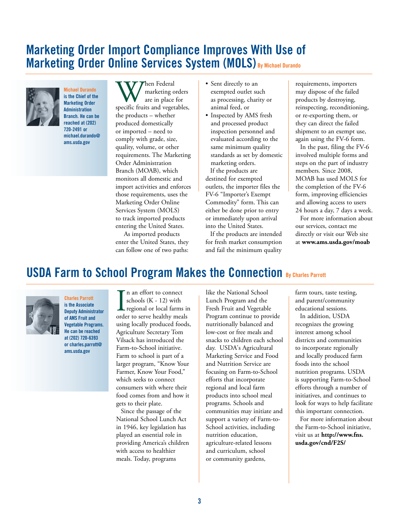#### **Marketing Order Import Compliance Improves With Use of Marketing Order Online Services System (MOLS) By Michael Durando**



**Michael Durando is the Chief of the Marketing Order Administration Branch. He can be reached at (202) 720-2491 or michael.durando@ ams.usda.gov**

When Federal<br>
are in place for<br>
specific fruits and vegetables, marketing orders are in place for the products – whether produced domestically or imported – need to comply with grade, size, quality, volume, or other requirements. The Marketing Order Administration Branch (MOAB), which monitors all domestic and import activities and enforces those requirements, uses the Marketing Order Online Services System (MOLS) to track imported products entering the United States.

 As imported products enter the United States, they can follow one of two paths:

- Sent directly to an exempted outlet such as processing, charity or animal feed, or
- Inspected by AMS fresh and processed product inspection personnel and evaluated according to the same minimum quality standards as set by domestic marketing orders. If the products are destined for exempted outlets, the importer files the FV-6 "Importer's Exempt Commodity" form. This can either be done prior to entry or immediately upon arrival into the United States.

If the products are intended for fresh market consumption and fail the minimum quality

requirements, importers may dispose of the failed products by destroying, reinspecting, reconditioning, or re-exporting them, or they can direct the failed shipment to an exempt use, again using the FV-6 form.

In the past, filing the FV-6 involved multiple forms and steps on the part of industry members. Since 2008, MOAB has used MOLS for the completion of the FV-6 form, improving efficiencies and allowing access to users 24 hours a day, 7 days a week.

For more information about our services, contact me directly or visit our Web site at **www.ams.usda.gov/moab**

### **USDA Farm to School Program Makes the Connection By Charles Parrott**



**Charles Parrott is the Associate Deputy Administrator of AMS Fruit and Vegetable Programs. He can be reached at (202) 720-6393 or charles.parrott@ ams.usda.gov**

I<br><sub>orde</sub> n an effort to connect schools (K - 12) with regional or local farms in order to serve healthy meals using locally produced foods, Agriculture Secretary Tom Vilsack has introduced the Farm-to-School initiative. Farm to school is part of a larger program, "Know Your Farmer, Know Your Food," which seeks to connect consumers with where their food comes from and how it gets to their plate.

Since the passage of the National School Lunch Act in 1946, key legislation has played an essential role in providing America's children with access to healthier meals. Today, programs

like the National School Lunch Program and the Fresh Fruit and Vegetable Program continue to provide nutritionally balanced and low-cost or free meals and snacks to children each school day. USDA's Agricultural Marketing Service and Food and Nutrition Service are focusing on Farm-to-School efforts that incorporate regional and local farm products into school meal programs. Schools and communities may initiate and support a variety of Farm-to-School activities, including nutrition education, agriculture-related lessons and curriculum, school or community gardens,

farm tours, taste testing, and parent/community educational sessions.

In addition, USDA recognizes the growing interest among school districts and communities to incorporate regionally and locally produced farm foods into the school nutrition programs. USDA is supporting Farm-to-School efforts through a number of initiatives, and continues to look for ways to help facilitate this important connection.

For more information about the Farm-to-School initiative, visit us at **http://www.fns. usda.gov/cnd/F2S/**